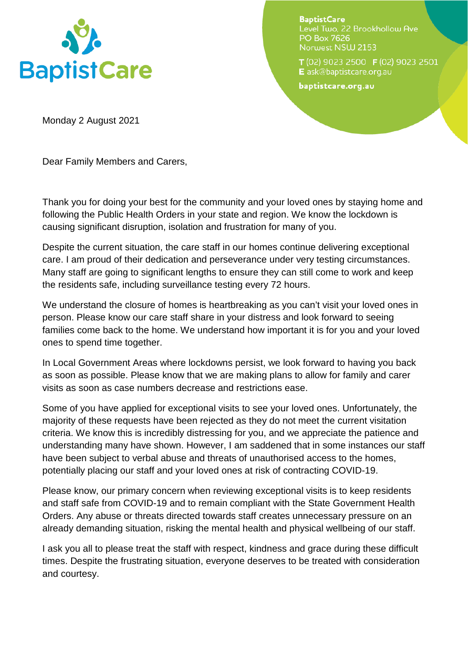

**BaptistCare** Level Two, 22 Brookhollow Ave **PO Box 7626** Norwest NSW 2153

T (02) 9023 2500 F (02) 9023 2501 E ask@baptistcare.org.au

baptistcare.org.au

Monday 2 August 2021

Dear Family Members and Carers,

Thank you for doing your best for the community and your loved ones by staying home and following the Public Health Orders in your state and region. We know the lockdown is causing significant disruption, isolation and frustration for many of you.

Despite the current situation, the care staff in our homes continue delivering exceptional care. I am proud of their dedication and perseverance under very testing circumstances. Many staff are going to significant lengths to ensure they can still come to work and keep the residents safe, including surveillance testing every 72 hours.

We understand the closure of homes is heartbreaking as you can't visit your loved ones in person. Please know our care staff share in your distress and look forward to seeing families come back to the home. We understand how important it is for you and your loved ones to spend time together.

In Local Government Areas where lockdowns persist, we look forward to having you back as soon as possible. Please know that we are making plans to allow for family and carer visits as soon as case numbers decrease and restrictions ease.

Some of you have applied for exceptional visits to see your loved ones. Unfortunately, the majority of these requests have been rejected as they do not meet the current visitation criteria. We know this is incredibly distressing for you, and we appreciate the patience and understanding many have shown. However, I am saddened that in some instances our staff have been subject to verbal abuse and threats of unauthorised access to the homes, potentially placing our staff and your loved ones at risk of contracting COVID-19.

Please know, our primary concern when reviewing exceptional visits is to keep residents and staff safe from COVID-19 and to remain compliant with the State Government Health Orders. Any abuse or threats directed towards staff creates unnecessary pressure on an already demanding situation, risking the mental health and physical wellbeing of our staff.

I ask you all to please treat the staff with respect, kindness and grace during these difficult times. Despite the frustrating situation, everyone deserves to be treated with consideration and courtesy.